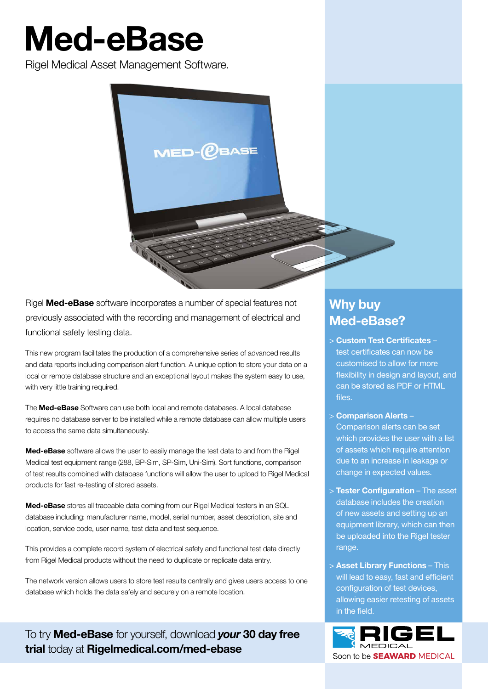# Med-eBase

Rigel Medical Asset Management Software.



Rigel **Med-eBase** software incorporates a number of special features not previously associated with the recording and management of electrical and functional safety testing data.

This new program facilitates the production of a comprehensive series of advanced results and data reports including comparison alert function. A unique option to store your data on a local or remote database structure and an exceptional layout makes the system easy to use, with very little training required.

The **Med-eBase** Software can use both local and remote databases. A local database requires no database server to be installed while a remote database can allow multiple users to access the same data simultaneously.

Med-eBase software allows the user to easily manage the test data to and from the Rigel Medical test equipment range (288, BP-Sim, SP-Sim, Uni-Sim). Sort functions, comparison of test results combined with database functions will allow the user to upload to Rigel Medical products for fast re-testing of stored assets.

Med-eBase stores all traceable data coming from our Rigel Medical testers in an SQL database including: manufacturer name, model, serial number, asset description, site and location, service code, user name, test data and test sequence.

This provides a complete record system of electrical safety and functional test data directly from Rigel Medical products without the need to duplicate or replicate data entry.

The network version allows users to store test results centrally and gives users access to one database which holds the data safely and securely on a remote location.

To try Med-eBase for yourself, download *your* 30 day free trial today at Rigelmedical.com/med-ebase

# Why buy Med-eBase?

- > Custom Test Certificates test certificates can now be customised to allow for more flexibility in design and layout, and can be stored as PDF or HTML files.
- > Comparison Alerts Comparison alerts can be set which provides the user with a list of assets which require attention due to an increase in leakage or change in expected values.
- > Tester Configuration The asset database includes the creation of new assets and setting up an equipment library, which can then be uploaded into the Rigel tester range.
- > Asset Library Functions This will lead to easy, fast and efficient configuration of test devices, allowing easier retesting of assets in the field.